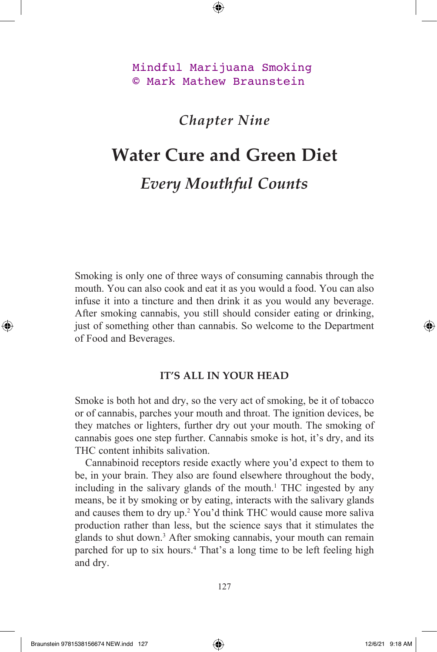Mindful Marijuana Smoking © Mark Mathew Braunstein

## *Chapter Nine*

## **Water Cure and Green Diet** *Every Mouthful Counts*

Smoking is only one of three ways of consuming cannabis through the mouth. You can also cook and eat it as you would a food. You can also infuse it into a tincture and then drink it as you would any beverage. After smoking cannabis, you still should consider eating or drinking, just of something other than cannabis. So welcome to the Department of Food and Beverages.

## **IT'S ALL IN YOUR HEAD**

Smoke is both hot and dry, so the very act of smoking, be it of tobacco or of cannabis, parches your mouth and throat. The ignition devices, be they matches or lighters, further dry out your mouth. The smoking of cannabis goes one step further. Cannabis smoke is hot, it's dry, and its THC content inhibits salivation.

Cannabinoid receptors reside exactly where you'd expect to them to be, in your brain. They also are found elsewhere throughout the body, including in the salivary glands of the mouth.<sup>1</sup> THC ingested by any means, be it by smoking or by eating, interacts with the salivary glands and causes them to dry up.<sup>2</sup> You'd think THC would cause more saliva production rather than less, but the science says that it stimulates the glands to shut down.3 After smoking cannabis, your mouth can remain parched for up to six hours.<sup>4</sup> That's a long time to be left feeling high and dry.